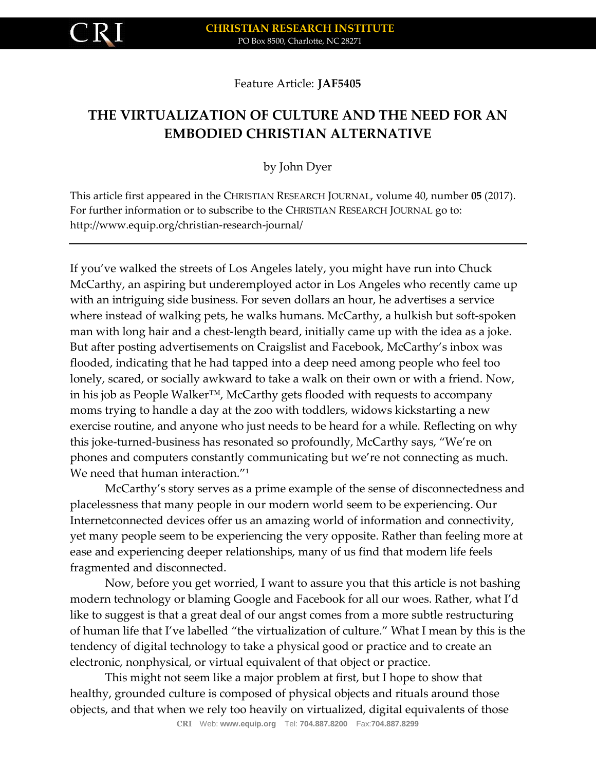

## Feature Article: **JAF5405**

# **THE VIRTUALIZATION OF CULTURE AND THE NEED FOR AN EMBODIED CHRISTIAN ALTERNATIVE**

## by John Dyer

This article first appeared in the CHRISTIAN RESEARCH JOURNAL, volume 40, number **05** (2017). For further information or to subscribe to the CHRISTIAN RESEARCH JOURNAL go to: http://www.equip.org/christian-research-journal/

If you've walked the streets of Los Angeles lately, you might have run into Chuck McCarthy, an aspiring but underemployed actor in Los Angeles who recently came up with an intriguing side business. For seven dollars an hour, he advertises a service where instead of walking pets, he walks humans. McCarthy, a hulkish but soft-spoken man with long hair and a chest-length beard, initially came up with the idea as a joke. But after posting advertisements on Craigslist and Facebook, McCarthy's inbox was flooded, indicating that he had tapped into a deep need among people who feel too lonely, scared, or socially awkward to take a walk on their own or with a friend. Now, in his job as People Walker™, McCarthy gets flooded with requests to accompany moms trying to handle a day at the zoo with toddlers, widows kickstarting a new exercise routine, and anyone who just needs to be heard for a while. Reflecting on why this joke-turned-business has resonated so profoundly, McCarthy says, "We're on phones and computers constantly communicating but we're not connecting as much. We need that human interaction."<sup>1</sup>

McCarthy's story serves as a prime example of the sense of disconnectedness and placelessness that many people in our modern world seem to be experiencing. Our Internetconnected devices offer us an amazing world of information and connectivity, yet many people seem to be experiencing the very opposite. Rather than feeling more at ease and experiencing deeper relationships, many of us find that modern life feels fragmented and disconnected.

Now, before you get worried, I want to assure you that this article is not bashing modern technology or blaming Google and Facebook for all our woes. Rather, what I'd like to suggest is that a great deal of our angst comes from a more subtle restructuring of human life that I've labelled "the virtualization of culture." What I mean by this is the tendency of digital technology to take a physical good or practice and to create an electronic, nonphysical, or virtual equivalent of that object or practice.

This might not seem like a major problem at first, but I hope to show that healthy, grounded culture is composed of physical objects and rituals around those objects, and that when we rely too heavily on virtualized, digital equivalents of those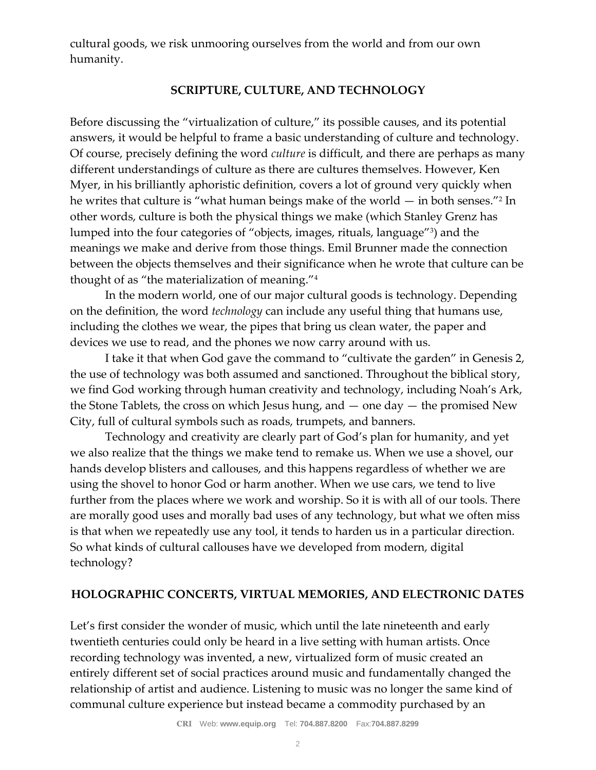cultural goods, we risk unmooring ourselves from the world and from our own humanity.

### **SCRIPTURE, CULTURE, AND TECHNOLOGY**

Before discussing the "virtualization of culture," its possible causes, and its potential answers, it would be helpful to frame a basic understanding of culture and technology. Of course, precisely defining the word *culture* is difficult, and there are perhaps as many different understandings of culture as there are cultures themselves. However, Ken Myer, in his brilliantly aphoristic definition, covers a lot of ground very quickly when he writes that culture is "what human beings make of the world — in both senses."<sup>2</sup> In other words, culture is both the physical things we make (which Stanley Grenz has lumped into the four categories of "objects, images, rituals, language"<sup>3</sup> ) and the meanings we make and derive from those things. Emil Brunner made the connection between the objects themselves and their significance when he wrote that culture can be thought of as "the materialization of meaning."<sup>4</sup>

In the modern world, one of our major cultural goods is technology. Depending on the definition, the word *technology* can include any useful thing that humans use, including the clothes we wear, the pipes that bring us clean water, the paper and devices we use to read, and the phones we now carry around with us.

I take it that when God gave the command to "cultivate the garden" in Genesis 2, the use of technology was both assumed and sanctioned. Throughout the biblical story, we find God working through human creativity and technology, including Noah's Ark, the Stone Tablets, the cross on which Jesus hung, and  $-$  one day  $-$  the promised New City, full of cultural symbols such as roads, trumpets, and banners.

Technology and creativity are clearly part of God's plan for humanity, and yet we also realize that the things we make tend to remake us. When we use a shovel, our hands develop blisters and callouses, and this happens regardless of whether we are using the shovel to honor God or harm another. When we use cars, we tend to live further from the places where we work and worship. So it is with all of our tools. There are morally good uses and morally bad uses of any technology, but what we often miss is that when we repeatedly use any tool, it tends to harden us in a particular direction. So what kinds of cultural callouses have we developed from modern, digital technology?

### **HOLOGRAPHIC CONCERTS, VIRTUAL MEMORIES, AND ELECTRONIC DATES**

Let's first consider the wonder of music, which until the late nineteenth and early twentieth centuries could only be heard in a live setting with human artists. Once recording technology was invented, a new, virtualized form of music created an entirely different set of social practices around music and fundamentally changed the relationship of artist and audience. Listening to music was no longer the same kind of communal culture experience but instead became a commodity purchased by an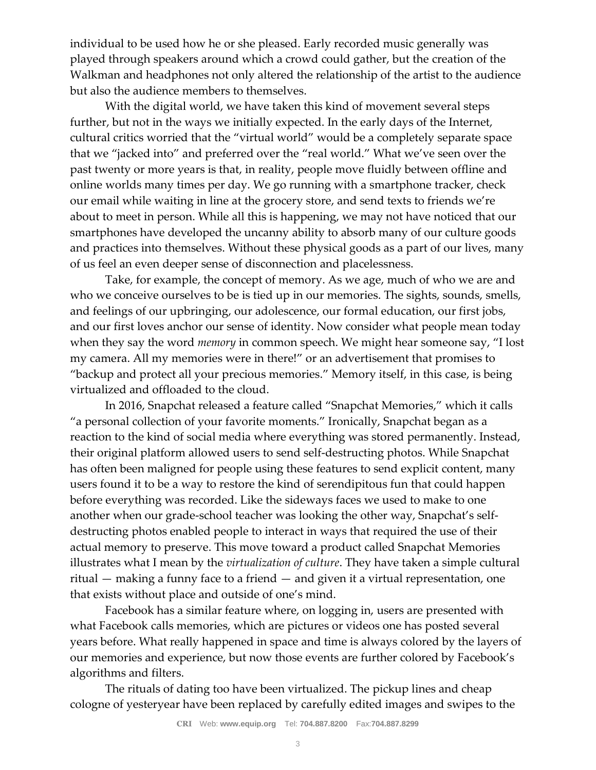individual to be used how he or she pleased. Early recorded music generally was played through speakers around which a crowd could gather, but the creation of the Walkman and headphones not only altered the relationship of the artist to the audience but also the audience members to themselves.

With the digital world, we have taken this kind of movement several steps further, but not in the ways we initially expected. In the early days of the Internet, cultural critics worried that the "virtual world" would be a completely separate space that we "jacked into" and preferred over the "real world." What we've seen over the past twenty or more years is that, in reality, people move fluidly between offline and online worlds many times per day. We go running with a smartphone tracker, check our email while waiting in line at the grocery store, and send texts to friends we're about to meet in person. While all this is happening, we may not have noticed that our smartphones have developed the uncanny ability to absorb many of our culture goods and practices into themselves. Without these physical goods as a part of our lives, many of us feel an even deeper sense of disconnection and placelessness.

Take, for example, the concept of memory. As we age, much of who we are and who we conceive ourselves to be is tied up in our memories. The sights, sounds, smells, and feelings of our upbringing, our adolescence, our formal education, our first jobs, and our first loves anchor our sense of identity. Now consider what people mean today when they say the word *memory* in common speech. We might hear someone say, "I lost my camera. All my memories were in there!" or an advertisement that promises to "backup and protect all your precious memories." Memory itself, in this case, is being virtualized and offloaded to the cloud.

In 2016, Snapchat released a feature called "Snapchat Memories," which it calls "a personal collection of your favorite moments." Ironically, Snapchat began as a reaction to the kind of social media where everything was stored permanently. Instead, their original platform allowed users to send self-destructing photos. While Snapchat has often been maligned for people using these features to send explicit content, many users found it to be a way to restore the kind of serendipitous fun that could happen before everything was recorded. Like the sideways faces we used to make to one another when our grade-school teacher was looking the other way, Snapchat's selfdestructing photos enabled people to interact in ways that required the use of their actual memory to preserve. This move toward a product called Snapchat Memories illustrates what I mean by the *virtualization of culture*. They have taken a simple cultural ritual — making a funny face to a friend — and given it a virtual representation, one that exists without place and outside of one's mind.

Facebook has a similar feature where, on logging in, users are presented with what Facebook calls memories, which are pictures or videos one has posted several years before. What really happened in space and time is always colored by the layers of our memories and experience, but now those events are further colored by Facebook's algorithms and filters.

The rituals of dating too have been virtualized. The pickup lines and cheap cologne of yesteryear have been replaced by carefully edited images and swipes to the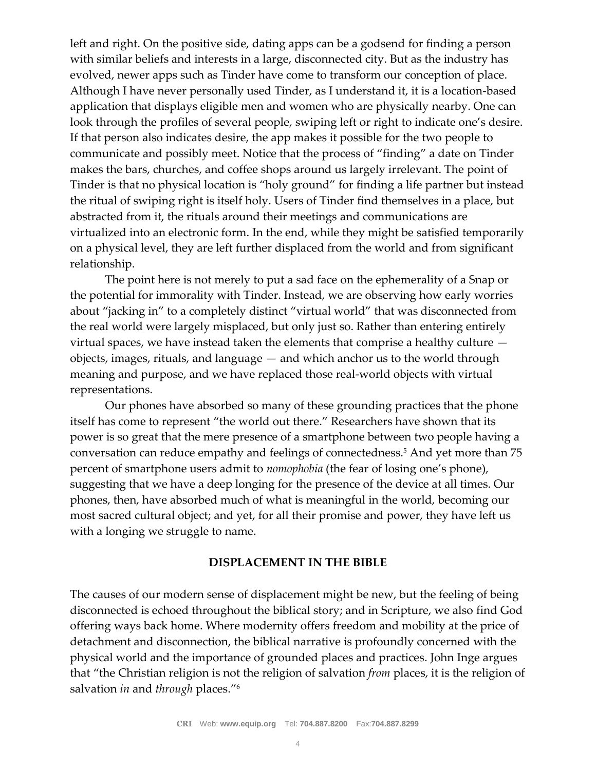left and right. On the positive side, dating apps can be a godsend for finding a person with similar beliefs and interests in a large, disconnected city. But as the industry has evolved, newer apps such as Tinder have come to transform our conception of place. Although I have never personally used Tinder, as I understand it, it is a location-based application that displays eligible men and women who are physically nearby. One can look through the profiles of several people, swiping left or right to indicate one's desire. If that person also indicates desire, the app makes it possible for the two people to communicate and possibly meet. Notice that the process of "finding" a date on Tinder makes the bars, churches, and coffee shops around us largely irrelevant. The point of Tinder is that no physical location is "holy ground" for finding a life partner but instead the ritual of swiping right is itself holy. Users of Tinder find themselves in a place, but abstracted from it, the rituals around their meetings and communications are virtualized into an electronic form. In the end, while they might be satisfied temporarily on a physical level, they are left further displaced from the world and from significant relationship.

The point here is not merely to put a sad face on the ephemerality of a Snap or the potential for immorality with Tinder. Instead, we are observing how early worries about "jacking in" to a completely distinct "virtual world" that was disconnected from the real world were largely misplaced, but only just so. Rather than entering entirely virtual spaces, we have instead taken the elements that comprise a healthy culture objects, images, rituals, and language — and which anchor us to the world through meaning and purpose, and we have replaced those real-world objects with virtual representations.

Our phones have absorbed so many of these grounding practices that the phone itself has come to represent "the world out there." Researchers have shown that its power is so great that the mere presence of a smartphone between two people having a conversation can reduce empathy and feelings of connectedness.<sup>5</sup> And yet more than 75 percent of smartphone users admit to *nomophobia* (the fear of losing one's phone), suggesting that we have a deep longing for the presence of the device at all times. Our phones, then, have absorbed much of what is meaningful in the world, becoming our most sacred cultural object; and yet, for all their promise and power, they have left us with a longing we struggle to name.

#### **DISPLACEMENT IN THE BIBLE**

The causes of our modern sense of displacement might be new, but the feeling of being disconnected is echoed throughout the biblical story; and in Scripture, we also find God offering ways back home. Where modernity offers freedom and mobility at the price of detachment and disconnection, the biblical narrative is profoundly concerned with the physical world and the importance of grounded places and practices. John Inge argues that "the Christian religion is not the religion of salvation *from* places, it is the religion of salvation *in* and *through* places."6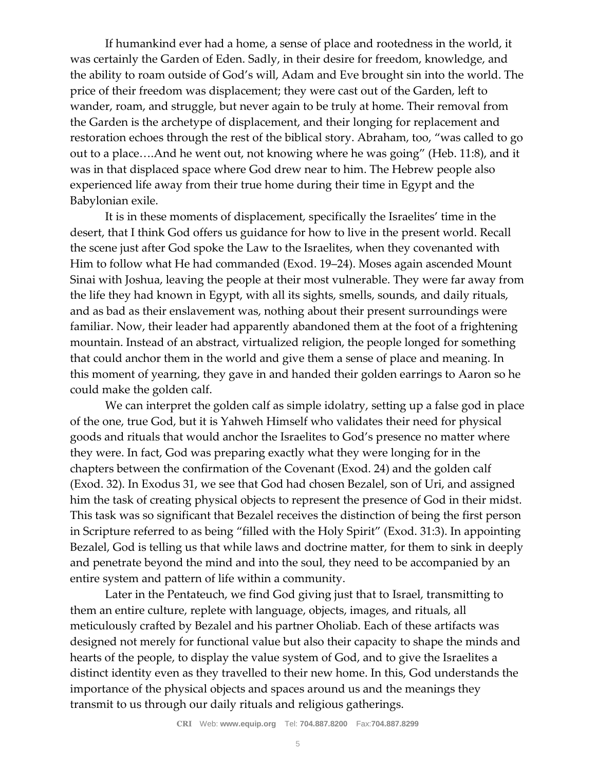If humankind ever had a home, a sense of place and rootedness in the world, it was certainly the Garden of Eden. Sadly, in their desire for freedom, knowledge, and the ability to roam outside of God's will, Adam and Eve brought sin into the world. The price of their freedom was displacement; they were cast out of the Garden, left to wander, roam, and struggle, but never again to be truly at home. Their removal from the Garden is the archetype of displacement, and their longing for replacement and restoration echoes through the rest of the biblical story. Abraham, too, "was called to go out to a place….And he went out, not knowing where he was going" (Heb. 11:8), and it was in that displaced space where God drew near to him. The Hebrew people also experienced life away from their true home during their time in Egypt and the Babylonian exile.

It is in these moments of displacement, specifically the Israelites' time in the desert, that I think God offers us guidance for how to live in the present world. Recall the scene just after God spoke the Law to the Israelites, when they covenanted with Him to follow what He had commanded (Exod. 19–24). Moses again ascended Mount Sinai with Joshua, leaving the people at their most vulnerable. They were far away from the life they had known in Egypt, with all its sights, smells, sounds, and daily rituals, and as bad as their enslavement was, nothing about their present surroundings were familiar. Now, their leader had apparently abandoned them at the foot of a frightening mountain. Instead of an abstract, virtualized religion, the people longed for something that could anchor them in the world and give them a sense of place and meaning. In this moment of yearning, they gave in and handed their golden earrings to Aaron so he could make the golden calf.

We can interpret the golden calf as simple idolatry, setting up a false god in place of the one, true God, but it is Yahweh Himself who validates their need for physical goods and rituals that would anchor the Israelites to God's presence no matter where they were. In fact, God was preparing exactly what they were longing for in the chapters between the confirmation of the Covenant (Exod. 24) and the golden calf (Exod. 32). In Exodus 31, we see that God had chosen Bezalel, son of Uri, and assigned him the task of creating physical objects to represent the presence of God in their midst. This task was so significant that Bezalel receives the distinction of being the first person in Scripture referred to as being "filled with the Holy Spirit" (Exod. 31:3). In appointing Bezalel, God is telling us that while laws and doctrine matter, for them to sink in deeply and penetrate beyond the mind and into the soul, they need to be accompanied by an entire system and pattern of life within a community.

Later in the Pentateuch, we find God giving just that to Israel, transmitting to them an entire culture, replete with language, objects, images, and rituals, all meticulously crafted by Bezalel and his partner Oholiab. Each of these artifacts was designed not merely for functional value but also their capacity to shape the minds and hearts of the people, to display the value system of God, and to give the Israelites a distinct identity even as they travelled to their new home. In this, God understands the importance of the physical objects and spaces around us and the meanings they transmit to us through our daily rituals and religious gatherings.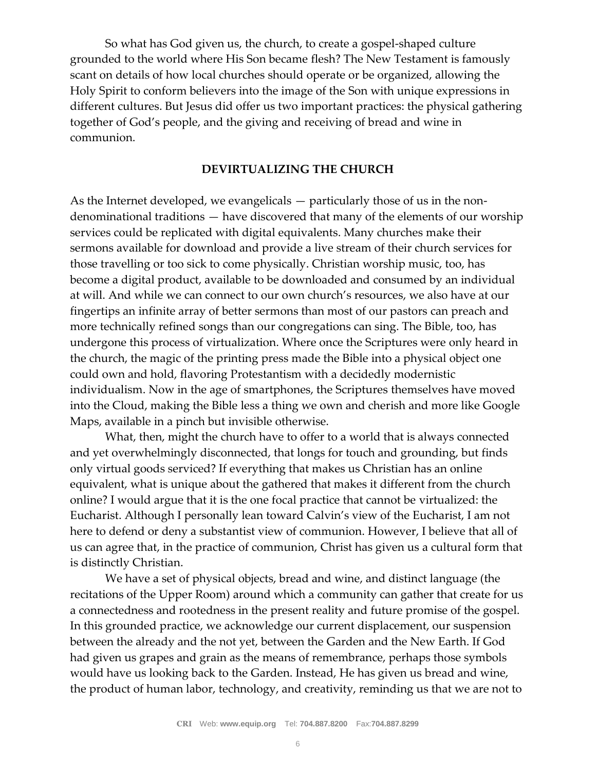So what has God given us, the church, to create a gospel-shaped culture grounded to the world where His Son became flesh? The New Testament is famously scant on details of how local churches should operate or be organized, allowing the Holy Spirit to conform believers into the image of the Son with unique expressions in different cultures. But Jesus did offer us two important practices: the physical gathering together of God's people, and the giving and receiving of bread and wine in communion.

#### **DEVIRTUALIZING THE CHURCH**

As the Internet developed, we evangelicals — particularly those of us in the nondenominational traditions — have discovered that many of the elements of our worship services could be replicated with digital equivalents. Many churches make their sermons available for download and provide a live stream of their church services for those travelling or too sick to come physically. Christian worship music, too, has become a digital product, available to be downloaded and consumed by an individual at will. And while we can connect to our own church's resources, we also have at our fingertips an infinite array of better sermons than most of our pastors can preach and more technically refined songs than our congregations can sing. The Bible, too, has undergone this process of virtualization. Where once the Scriptures were only heard in the church, the magic of the printing press made the Bible into a physical object one could own and hold, flavoring Protestantism with a decidedly modernistic individualism. Now in the age of smartphones, the Scriptures themselves have moved into the Cloud, making the Bible less a thing we own and cherish and more like Google Maps, available in a pinch but invisible otherwise.

What, then, might the church have to offer to a world that is always connected and yet overwhelmingly disconnected, that longs for touch and grounding, but finds only virtual goods serviced? If everything that makes us Christian has an online equivalent, what is unique about the gathered that makes it different from the church online? I would argue that it is the one focal practice that cannot be virtualized: the Eucharist. Although I personally lean toward Calvin's view of the Eucharist, I am not here to defend or deny a substantist view of communion. However, I believe that all of us can agree that, in the practice of communion, Christ has given us a cultural form that is distinctly Christian.

We have a set of physical objects, bread and wine, and distinct language (the recitations of the Upper Room) around which a community can gather that create for us a connectedness and rootedness in the present reality and future promise of the gospel. In this grounded practice, we acknowledge our current displacement, our suspension between the already and the not yet, between the Garden and the New Earth. If God had given us grapes and grain as the means of remembrance, perhaps those symbols would have us looking back to the Garden. Instead, He has given us bread and wine, the product of human labor, technology, and creativity, reminding us that we are not to